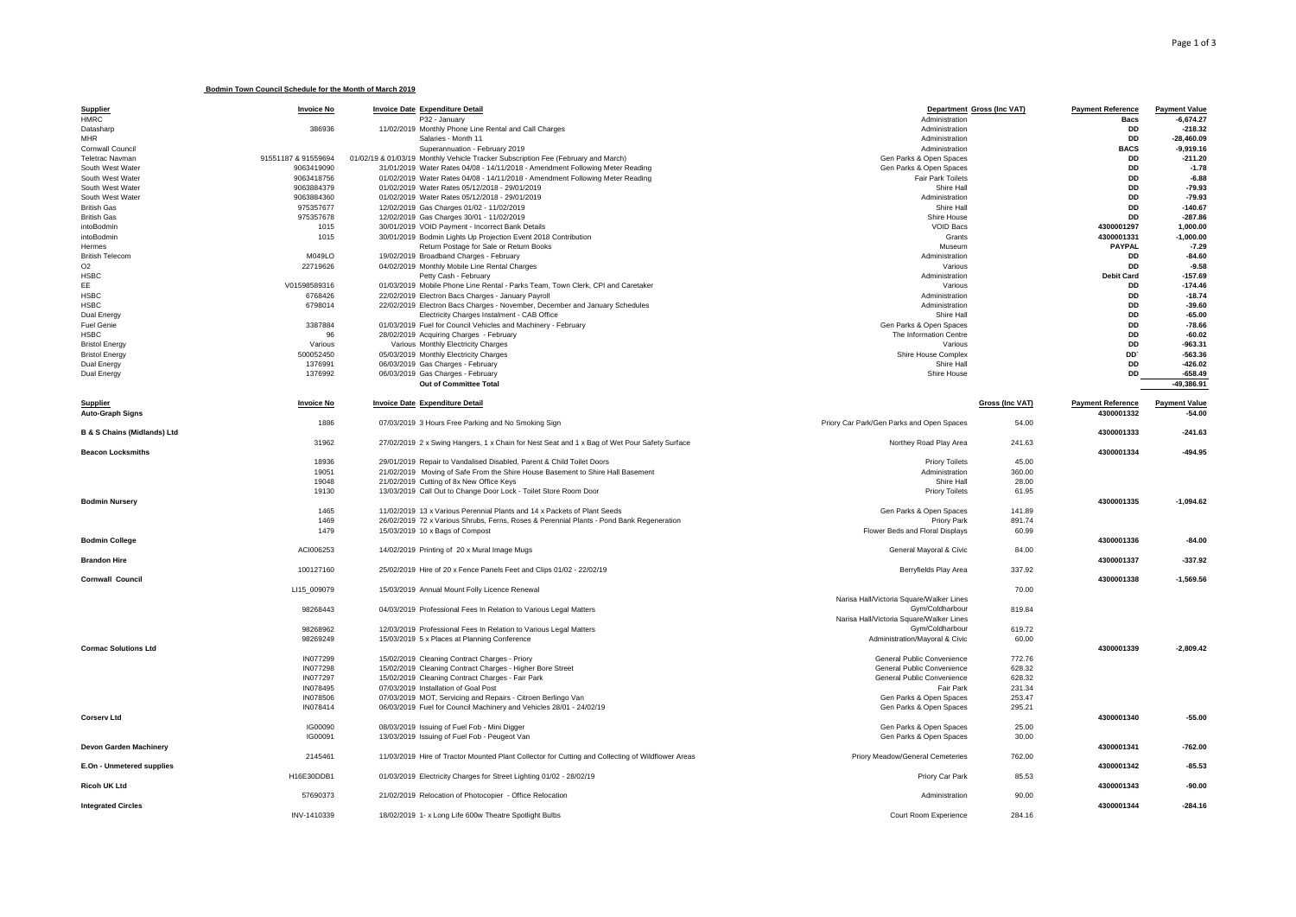## **Bodmin Town Council Schedule for the Month of March 2019**

| <b>Supplier</b>                        | <b>Invoice No</b>   | <b>Invoice Date Expenditure Detail</b>                                                            | Department Gross (Inc VAT)                |                        | <b>Payment Reference</b> | <b>Payment Value</b> |
|----------------------------------------|---------------------|---------------------------------------------------------------------------------------------------|-------------------------------------------|------------------------|--------------------------|----------------------|
| <b>HMRC</b>                            |                     | P32 - January                                                                                     | Administration                            |                        | <b>Bacs</b>              | $-6,674.27$          |
| Datasharp                              | 386936              | 11/02/2019 Monthly Phone Line Rental and Call Charges                                             | Administration                            |                        | DD                       | $-218.32$            |
| <b>MHR</b>                             |                     | Salaries - Month 11                                                                               | Administration                            |                        | <b>DD</b>                | $-28,460.09$         |
| Cornwall Council                       |                     | Superannuation - February 2019                                                                    | Administration                            |                        | <b>BACS</b>              | $-9,919.16$          |
| Teletrac Navman                        | 91551187 & 91559694 | 01/02/19 & 01/03/19 Monthly Vehicle Tracker Subscription Fee (February and March)                 | Gen Parks & Open Spaces                   |                        | <b>DD</b>                | $-211.20$            |
| South West Water                       | 9063419090          | 31/01/2019 Water Rates 04/08 - 14/11/2018 - Amendment Following Meter Reading                     | Gen Parks & Open Spaces                   |                        | <b>DD</b>                | $-1.78$              |
| South West Water                       | 9063418756          | 01/02/2019 Water Rates 04/08 - 14/11/2018 - Amendment Following Meter Reading                     | Fair Park Toilets                         |                        | <b>DD</b>                | $-6.88$              |
| South West Water                       | 9063884379          | 01/02/2019 Water Rates 05/12/2018 - 29/01/2019                                                    | Shire Hall                                |                        | <b>DD</b>                | $-79.93$             |
| South West Water                       | 9063884360          | 01/02/2019 Water Rates 05/12/2018 - 29/01/2019                                                    | Administration                            |                        | <b>DD</b>                | $-79.93$             |
| <b>British Gas</b>                     | 975357677           | 12/02/2019 Gas Charges 01/02 - 11/02/2019                                                         | Shire Hall                                |                        | DD                       | $-140.67$            |
| <b>British Gas</b>                     | 975357678           | 12/02/2019 Gas Charges 30/01 - 11/02/2019                                                         | Shire House                               |                        | <b>DD</b>                | $-287.86$            |
| intoBodmin                             | 1015                | 30/01/2019 VOID Payment - Incorrect Bank Details                                                  | VOID Bacs                                 |                        | 4300001297               | 1,000.00             |
| intoBodmin                             | 1015                | 30/01/2019 Bodmin Lights Up Projection Event 2018 Contribution                                    | Grants                                    |                        | 4300001331               | $-1,000.00$          |
| Hermes                                 |                     | Return Postage for Sale or Return Books                                                           | Museum                                    |                        | PAYPAL                   | $-7.29$              |
| <b>British Telecom</b>                 | M049LO              | 19/02/2019 Broadband Charges - February                                                           | Administration                            |                        | <b>DD</b>                | $-84.60$             |
| O <sub>2</sub>                         | 22719626            | 04/02/2019 Monthly Mobile Line Rental Charges                                                     | Various                                   |                        | <b>DD</b>                | $-9.58$              |
| <b>HSBC</b>                            |                     | Petty Cash - February                                                                             | Administration                            |                        | <b>Debit Card</b>        | $-157.69$            |
| EE.                                    | V01598589316        | 01/03/2019 Mobile Phone Line Rental - Parks Team, Town Clerk, CPI and Caretaker                   | Various                                   |                        | <b>DD</b>                | $-174.46$            |
| <b>HSBC</b>                            | 6768426             | 22/02/2019 Electron Bacs Charges - January Payroll                                                | Administration                            |                        | <b>DD</b>                | $-18.74$             |
| <b>HSBC</b>                            | 6798014             | 22/02/2019 Electron Bacs Charges - November, December and January Schedules                       | Administration                            |                        | <b>DD</b>                | $-39.60$             |
| Dual Energy                            |                     | Electricity Charges Instalment - CAB Office                                                       | Shire Hall                                |                        | DD                       | $-65.00$             |
| Fuel Genie                             | 3387884             | 01/03/2019 Fuel for Council Vehicles and Machinery - February                                     | Gen Parks & Open Spaces                   |                        | <b>DD</b>                | $-78.66$             |
| <b>HSBC</b>                            | 96                  | 28/02/2019 Acquiring Charges - February                                                           | The Information Centre                    |                        | DD                       | $-60.02$             |
| <b>Bristol Energy</b>                  | Various             | Various Monthly Electricity Charges                                                               | Various                                   |                        | DD                       | $-963.31$            |
| <b>Bristol Energy</b>                  | 500052450           | 05/03/2019 Monthly Electricity Charges                                                            | Shire House Complex                       |                        | DD'                      | $-563.36$            |
| Dual Energy                            | 1376991             | 06/03/2019 Gas Charges - February                                                                 | Shire Hall                                |                        | <b>DD</b>                | $-426.02$            |
| Dual Energy                            | 1376992             | 06/03/2019 Gas Charges - February                                                                 | Shire House                               |                        | <b>DD</b>                | $-658.49$            |
|                                        |                     | Out of Committee Total                                                                            |                                           |                        |                          | $-49,386.91$         |
|                                        |                     |                                                                                                   |                                           |                        |                          |                      |
| <b>Supplier</b>                        | <b>Invoice No</b>   | Invoice Date Expenditure Detail                                                                   |                                           | <b>Gross (Inc VAT)</b> | <b>Payment Reference</b> | <b>Payment Value</b> |
| <b>Auto-Graph Signs</b>                |                     |                                                                                                   |                                           |                        | 4300001332               | $-54.00$             |
|                                        | 1886                | 07/03/2019 3 Hours Free Parking and No Smoking Sign                                               | Priory Car Park/Gen Parks and Open Spaces | 54.00                  |                          |                      |
| <b>B &amp; S Chains (Midlands) Ltd</b> |                     |                                                                                                   |                                           |                        | 4300001333               | $-241.63$            |
|                                        | 31962               | 27/02/2019 2 x Swing Hangers, 1 x Chain for Nest Seat and 1 x Bag of Wet Pour Safety Surface      | Northey Road Play Area                    | 241.63                 |                          |                      |
| <b>Beacon Locksmiths</b>               |                     |                                                                                                   |                                           |                        | 4300001334               | $-494.95$            |
|                                        | 18936               | 29/01/2019 Repair to Vandalised Disabled, Parent & Child Toilet Doors                             | <b>Priory Toilets</b>                     | 45.00                  |                          |                      |
|                                        | 19051               | 21/02/2019 Moving of Safe From the Shire House Basement to Shire Hall Basement                    | Administration                            | 360.00                 |                          |                      |
|                                        |                     |                                                                                                   |                                           |                        |                          |                      |
|                                        | 19048               | 21/02/2019 Cutting of 8x New Office Keys                                                          | Shire Hall                                | 28.00                  |                          |                      |
|                                        | 19130               | 13/03/2019 Call Out to Change Door Lock - Toilet Store Room Door                                  | <b>Priory Toilets</b>                     | 61.95                  |                          |                      |
| <b>Bodmin Nursery</b>                  |                     |                                                                                                   |                                           |                        | 4300001335               | $-1,094.62$          |
|                                        | 1465                | 11/02/2019 13 x Various Perennial Plants and 14 x Packets of Plant Seeds                          | Gen Parks & Open Spaces                   | 141.89                 |                          |                      |
|                                        | 1469                | 26/02/2019 72 x Various Shrubs, Ferns, Roses & Perennial Plants - Pond Bank Regeneration          | <b>Priory Park</b>                        | 891.74                 |                          |                      |
|                                        | 1479                | 15/03/2019 10 x Bags of Compost                                                                   | Flower Beds and Floral Displays           | 60.99                  |                          |                      |
| <b>Bodmin College</b>                  |                     |                                                                                                   |                                           |                        | 4300001336               | $-84.00$             |
|                                        | ACI006253           | 14/02/2019 Printing of 20 x Mural Image Mugs                                                      | General Mayoral & Civic                   | 84.00                  |                          |                      |
| <b>Brandon Hire</b>                    |                     |                                                                                                   |                                           |                        | 4300001337               | $-337.92$            |
|                                        | 100127160           | 25/02/2019 Hire of 20 x Fence Panels Feet and Clips 01/02 - 22/02/19                              | Berryfields Play Area                     | 337.92                 |                          |                      |
| <b>Cornwall Council</b>                |                     |                                                                                                   |                                           |                        | 4300001338               | $-1,569.56$          |
|                                        | LI15_009079         | 15/03/2019 Annual Mount Folly Licence Renewal                                                     |                                           | 70.00                  |                          |                      |
|                                        |                     |                                                                                                   | Narisa Hall/Victoria Square/Walker Lines  |                        |                          |                      |
|                                        | 98268443            | 04/03/2019 Professional Fees In Relation to Various Legal Matters                                 | Gym/Coldharbour                           | 819.84                 |                          |                      |
|                                        |                     |                                                                                                   | Narisa Hall/Victoria Square/Walker Lines  |                        |                          |                      |
|                                        | 98268962            | 12/03/2019 Professional Fees In Relation to Various Legal Matters                                 | Gym/Coldharbour                           | 619.72                 |                          |                      |
|                                        | 98269249            | 15/03/2019 5 x Places at Planning Conference                                                      | Administration/Mayoral & Civic            | 60.00                  |                          |                      |
| <b>Cormac Solutions Ltd</b>            |                     |                                                                                                   |                                           |                        | 4300001339               | $-2,809.42$          |
|                                        | <b>IN077299</b>     | 15/02/2019 Cleaning Contract Charges - Priory                                                     | General Public Convenience                | 772.76                 |                          |                      |
|                                        | IN077298            | 15/02/2019 Cleaning Contract Charges - Higher Bore Street                                         | General Public Convenience                | 628.32                 |                          |                      |
|                                        | IN077297            | 15/02/2019 Cleaning Contract Charges - Fair Park                                                  | General Public Convenience                | 628.32                 |                          |                      |
|                                        | IN078495            | 07/03/2019 Installation of Goal Post                                                              | <b>Fair Park</b>                          | 231.34                 |                          |                      |
|                                        | <b>IN078506</b>     | 07/03/2019 MOT, Servicing and Repairs - Citroen Berlingo Van                                      | Gen Parks & Open Spaces                   | 253.47                 |                          |                      |
|                                        | IN078414            | 06/03/2019 Fuel for Council Machinery and Vehicles 28/01 - 24/02/19                               | Gen Parks & Open Spaces                   | 295.21                 |                          |                      |
| <b>Corserv Ltd</b>                     |                     |                                                                                                   |                                           |                        | 4300001340               | $-55.00$             |
|                                        | IG00090             | 08/03/2019 Issuing of Fuel Fob - Mini Digger                                                      | Gen Parks & Open Spaces                   | 25.00                  |                          |                      |
|                                        | IG00091             | 13/03/2019 Issuing of Fuel Fob - Peugeot Van                                                      | Gen Parks & Open Spaces                   | 30.00                  |                          |                      |
| <b>Devon Garden Machinery</b>          |                     |                                                                                                   |                                           |                        | 4300001341               | $-762.00$            |
|                                        | 2145461             | 11/03/2019 Hire of Tractor Mounted Plant Collector for Cutting and Collecting of Wildflower Areas | Priory Meadow/General Cemeteries          | 762.00                 |                          |                      |
| E.On - Unmetered supplies              |                     |                                                                                                   |                                           |                        | 4300001342               | $-85.53$             |
|                                        | H16E30DDB1          | 01/03/2019 Electricity Charges for Street Lighting 01/02 - 28/02/19                               | Priory Car Park                           | 85.53                  |                          |                      |
| <b>Ricoh UK Ltd</b>                    |                     |                                                                                                   |                                           |                        | 4300001343               | $-90.00$             |
|                                        | 57690373            | 21/02/2019 Relocation of Photocopier - Office Relocation                                          | Administration                            | 90.00                  |                          |                      |
| <b>Integrated Circles</b>              | INV-1410339         | 18/02/2019 1- x Long Life 600w Theatre Spotlight Bulbs                                            | Court Room Experience                     | 284 16                 | 4300001344               | $-284.16$            |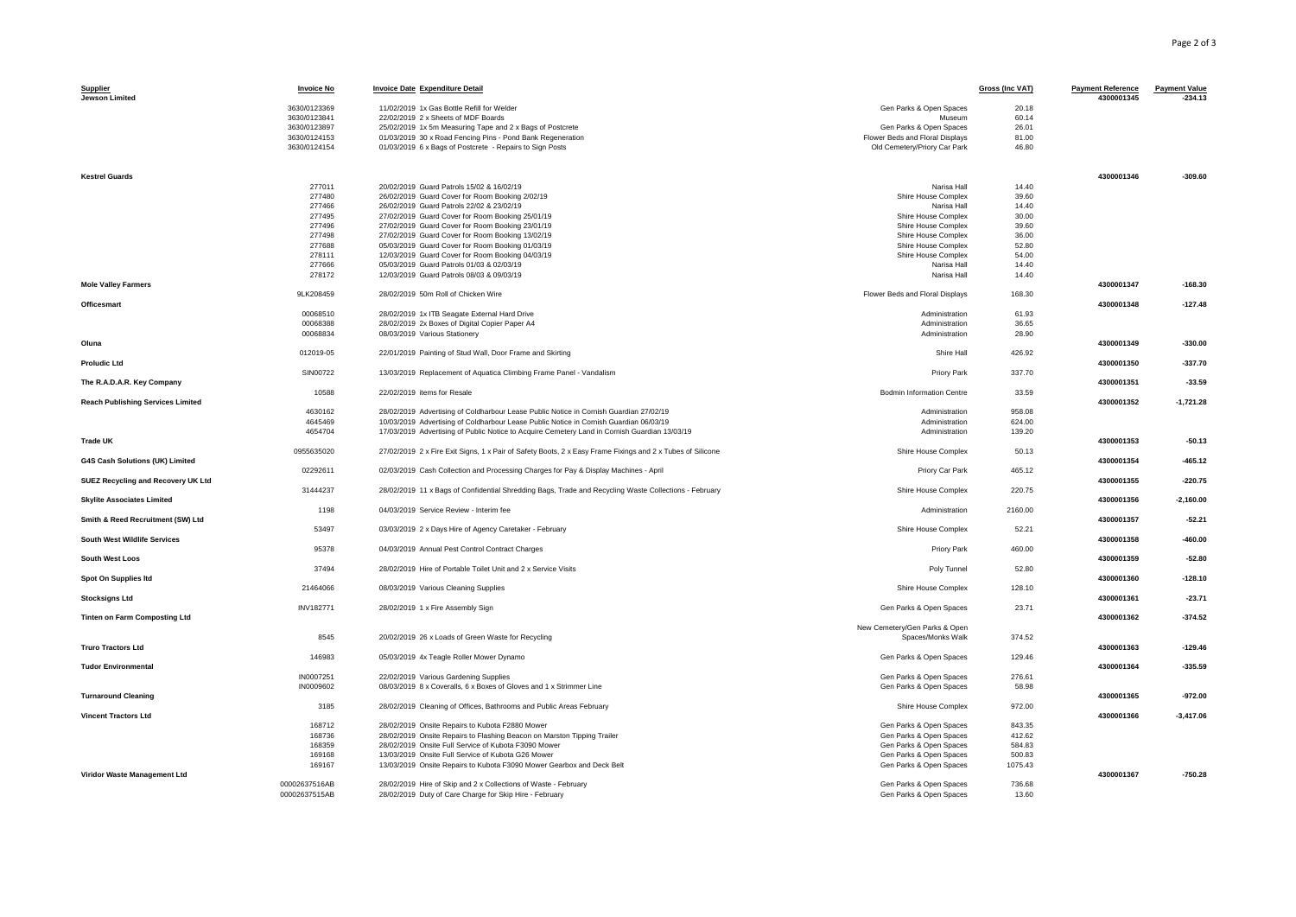| <b>Supplier</b><br><b>Jewson Limited</b> | <b>Invoice No</b>    | <b>Invoice Date Expenditure Detail</b>                                                                     |                                  | <b>Gross (Inc VAT)</b> | <b>Payment Reference</b><br>4300001345 | <b>Payment Value</b><br>$-234.13$ |
|------------------------------------------|----------------------|------------------------------------------------------------------------------------------------------------|----------------------------------|------------------------|----------------------------------------|-----------------------------------|
|                                          | 3630/0123369         | 11/02/2019 1x Gas Bottle Refill for Welder                                                                 | Gen Parks & Open Spaces          | 20.18                  |                                        |                                   |
|                                          | 3630/0123841         | 22/02/2019 2 x Sheets of MDF Boards                                                                        | Museum                           | 60.14                  |                                        |                                   |
|                                          | 3630/0123897         | 25/02/2019 1x 5m Measuring Tape and 2 x Bags of Postcrete                                                  | Gen Parks & Open Spaces          | 26.01                  |                                        |                                   |
|                                          | 3630/0124153         | 01/03/2019 30 x Road Fencing Pins - Pond Bank Regeneration                                                 | Flower Beds and Floral Displays  | 81.00                  |                                        |                                   |
|                                          | 3630/0124154         | 01/03/2019 6 x Bags of Postcrete - Repairs to Sign Posts                                                   | Old Cemetery/Priory Car Park     | 46.80                  |                                        |                                   |
| <b>Kestrel Guards</b>                    |                      |                                                                                                            |                                  |                        | 4300001346                             | $-309.60$                         |
|                                          | 277011               | 20/02/2019 Guard Patrols 15/02 & 16/02/19                                                                  | Narisa Hall                      | 14.40                  |                                        |                                   |
|                                          | 277480               | 26/02/2019 Guard Cover for Room Booking 2/02/19                                                            | Shire House Complex              | 39.60                  |                                        |                                   |
|                                          | 277466               | 26/02/2019 Guard Patrols 22/02 & 23/02/19                                                                  | Narisa Hall                      | 14.40                  |                                        |                                   |
|                                          | 277495               | 27/02/2019 Guard Cover for Room Booking 25/01/19                                                           | Shire House Complex              | 30.00                  |                                        |                                   |
|                                          | 277496               | 27/02/2019 Guard Cover for Room Booking 23/01/19                                                           | Shire House Complex              | 39.60                  |                                        |                                   |
|                                          | 277498               | 27/02/2019 Guard Cover for Room Booking 13/02/19                                                           | Shire House Complex              | 36.00                  |                                        |                                   |
|                                          | 277688               | 05/03/2019 Guard Cover for Room Booking 01/03/19                                                           | Shire House Complex              | 52.80                  |                                        |                                   |
|                                          | 278111               | 12/03/2019 Guard Cover for Room Booking 04/03/19                                                           | Shire House Complex              | 54.00                  |                                        |                                   |
|                                          | 277666               | 05/03/2019 Guard Patrols 01/03 & 02/03/19                                                                  | Narisa Hall                      | 14.40                  |                                        |                                   |
|                                          | 278172               | 12/03/2019 Guard Patrols 08/03 & 09/03/19                                                                  | Narisa Hall                      | 14.40                  |                                        |                                   |
| <b>Mole Valley Farmers</b>               |                      |                                                                                                            |                                  |                        | 4300001347                             | $-168.30$                         |
|                                          | 9LK208459            | 28/02/2019 50m Roll of Chicken Wire                                                                        | Flower Beds and Floral Displays  | 168.30                 |                                        |                                   |
| <b>Officesmart</b>                       |                      |                                                                                                            |                                  |                        | 4300001348                             | $-127.48$                         |
|                                          | 00068510             | 28/02/2019 1x ITB Seagate External Hard Drive                                                              | Administration                   | 61.93                  |                                        |                                   |
|                                          | 00068388<br>00068834 | 28/02/2019 2x Boxes of Digital Copier Paper A4                                                             | Administration<br>Administration | 36.65                  |                                        |                                   |
| Oluna                                    |                      | 08/03/2019 Various Stationery                                                                              |                                  | 28.90                  | 4300001349                             | $-330.00$                         |
|                                          | 012019-05            | 22/01/2019 Painting of Stud Wall, Door Frame and Skirting                                                  | Shire Hall                       | 426.92                 |                                        |                                   |
| <b>Proludic Ltd</b>                      |                      |                                                                                                            |                                  |                        | 4300001350                             | $-337.70$                         |
|                                          | SIN00722             | 13/03/2019 Replacement of Aquatica Climbing Frame Panel - Vandalism                                        | Priory Park                      | 337.70                 |                                        |                                   |
| The R.A.D.A.R. Key Company               |                      |                                                                                                            |                                  |                        | 4300001351                             | $-33.59$                          |
|                                          | 10588                | 22/02/2019 items for Resale                                                                                | <b>Bodmin Information Centre</b> | 33.59                  |                                        |                                   |
| <b>Reach Publishing Services Limited</b> |                      |                                                                                                            |                                  |                        | 4300001352                             | $-1,721.28$                       |
|                                          | 4630162              | 28/02/2019 Advertising of Coldharbour Lease Public Notice in Cornish Guardian 27/02/19                     | Administration                   | 958.08                 |                                        |                                   |
|                                          | 4645469              | 10/03/2019 Advertising of Coldharbour Lease Public Notice in Cornish Guardian 06/03/19                     | Administration                   | 624.00                 |                                        |                                   |
|                                          | 4654704              | 17/03/2019 Advertising of Public Notice to Acquire Cemetery Land in Cornish Guardian 13/03/19              | Administration                   | 139.20                 |                                        |                                   |
| <b>Trade UK</b>                          |                      |                                                                                                            |                                  |                        | 4300001353                             | $-50.13$                          |
|                                          | 0955635020           | 27/02/2019 2 x Fire Exit Signs, 1 x Pair of Safety Boots, 2 x Easy Frame Fixings and 2 x Tubes of Silicone | Shire House Complex              | 50.13                  |                                        |                                   |
| G4S Cash Solutions (UK) Limited          |                      |                                                                                                            |                                  |                        | 4300001354                             | $-465.12$                         |
|                                          | 02292611             | 02/03/2019 Cash Collection and Processing Charges for Pay & Display Machines - April                       | Priory Car Park                  | 465.12                 |                                        |                                   |
| SUEZ Recycling and Recovery UK Ltd       |                      |                                                                                                            |                                  |                        | 4300001355                             | $-220.75$                         |
|                                          | 31444237             | 28/02/2019 11 x Bags of Confidential Shredding Bags, Trade and Recycling Waste Collections - February      | Shire House Complex              | 220.75                 |                                        |                                   |
| <b>Skylite Associates Limited</b>        |                      |                                                                                                            |                                  |                        | 4300001356                             | $-2,160.00$                       |
| Smith & Reed Recruitment (SW) Ltd        | 1198                 | 04/03/2019 Service Review - Interim fee                                                                    | Administration                   | 2160.00                | 4300001357                             | $-52.21$                          |
|                                          | 53497                | 03/03/2019 2 x Days Hire of Agency Caretaker - February                                                    | Shire House Complex              | 52.21                  |                                        |                                   |
| <b>South West Wildlife Services</b>      |                      |                                                                                                            |                                  |                        | 4300001358                             | $-460.00$                         |
|                                          | 95378                | 04/03/2019 Annual Pest Control Contract Charges                                                            | Priory Park                      | 460.00                 |                                        |                                   |
| <b>South West Loos</b>                   |                      |                                                                                                            |                                  |                        | 4300001359                             | $-52.80$                          |
|                                          | 37494                | 28/02/2019 Hire of Portable Toilet Unit and 2 x Service Visits                                             | Poly Tunnel                      | 52.80                  |                                        |                                   |
| Spot On Supplies Itd                     |                      |                                                                                                            |                                  |                        | 4300001360                             | $-128.10$                         |
|                                          | 21464066             | 08/03/2019 Various Cleaning Supplies                                                                       | Shire House Complex              | 128.10                 |                                        |                                   |
| <b>Stocksigns Ltd</b>                    |                      |                                                                                                            |                                  |                        | 4300001361                             | $-23.71$                          |
|                                          | <b>INV182771</b>     | 28/02/2019 1 x Fire Assembly Sign                                                                          | Gen Parks & Open Spaces          | 23.71                  |                                        |                                   |
| <b>Tinten on Farm Composting Ltd</b>     |                      |                                                                                                            |                                  |                        | 4300001362                             | $-374.52$                         |
|                                          |                      |                                                                                                            | New Cemetery/Gen Parks & Open    |                        |                                        |                                   |
|                                          | 8545                 | 20/02/2019 26 x Loads of Green Waste for Recycling                                                         | Spaces/Monks Walk                | 374.52                 |                                        |                                   |
| <b>Truro Tractors Ltd</b>                |                      |                                                                                                            |                                  |                        | 4300001363                             | $-129.46$                         |
|                                          | 146983               | 05/03/2019 4x Teagle Roller Mower Dynamo                                                                   | Gen Parks & Open Spaces          | 129.46                 |                                        |                                   |
| <b>Tudor Environmental</b>               |                      |                                                                                                            |                                  |                        | 4300001364                             | $-335.59$                         |
|                                          | IN0007251            | 22/02/2019 Various Gardening Supplies                                                                      | Gen Parks & Open Spaces          | 276.61                 |                                        |                                   |
|                                          | IN0009602            | 08/03/2019 8 x Coveralls, 6 x Boxes of Gloves and 1 x Strimmer Line                                        | Gen Parks & Open Spaces          | 58.98                  |                                        |                                   |
| <b>Turnaround Cleaning</b>               | 3185                 | 28/02/2019 Cleaning of Offices, Bathrooms and Public Areas February                                        | Shire House Complex              | 972.00                 | 4300001365                             | $-972.00$                         |
| <b>Vincent Tractors Ltd</b>              |                      |                                                                                                            |                                  |                        | 4300001366                             | $-3,417.06$                       |
|                                          | 168712               | 28/02/2019 Onsite Repairs to Kubota F2880 Mower                                                            | Gen Parks & Open Spaces          | 843.35                 |                                        |                                   |
|                                          | 168736               | 28/02/2019 Onsite Repairs to Flashing Beacon on Marston Tipping Trailer                                    | Gen Parks & Open Spaces          | 412.62                 |                                        |                                   |
|                                          | 168359               | 28/02/2019 Onsite Full Service of Kubota F3090 Mower                                                       | Gen Parks & Open Spaces          | 584.83                 |                                        |                                   |
|                                          | 169168               | 13/03/2019 Onsite Full Service of Kubota G26 Mower                                                         | Gen Parks & Open Spaces          | 500.83                 |                                        |                                   |
|                                          | 169167               | 13/03/2019 Onsite Repairs to Kubota F3090 Mower Gearbox and Deck Belt                                      | Gen Parks & Open Spaces          | 1075.43                |                                        |                                   |
| Viridor Waste Management Ltd             |                      |                                                                                                            |                                  |                        | 4300001367                             | $-750.28$                         |
|                                          | 00002637516AB        | 28/02/2019 Hire of Skip and 2 x Collections of Waste - February                                            | Gen Parks & Open Spaces          | 736.68                 |                                        |                                   |
|                                          | 00002637515AB        | 28/02/2019 Duty of Care Charge for Skip Hire - February                                                    | Gen Parks & Open Spaces          | 13.60                  |                                        |                                   |
|                                          |                      |                                                                                                            |                                  |                        |                                        |                                   |